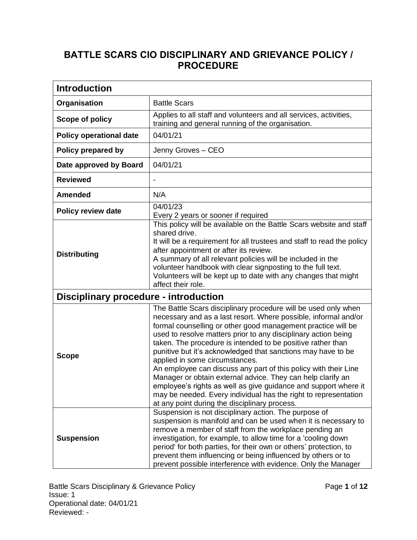## **BATTLE SCARS CIO DISCIPLINARY AND GRIEVANCE POLICY / PROCEDURE**

| <b>Introduction</b>                          |                                                                                                                                                                                                                                                                                                                                                                                                                                                                                                                                                                                                                                                                                                                                                               |
|----------------------------------------------|---------------------------------------------------------------------------------------------------------------------------------------------------------------------------------------------------------------------------------------------------------------------------------------------------------------------------------------------------------------------------------------------------------------------------------------------------------------------------------------------------------------------------------------------------------------------------------------------------------------------------------------------------------------------------------------------------------------------------------------------------------------|
| Organisation                                 | <b>Battle Scars</b>                                                                                                                                                                                                                                                                                                                                                                                                                                                                                                                                                                                                                                                                                                                                           |
| <b>Scope of policy</b>                       | Applies to all staff and volunteers and all services, activities,<br>training and general running of the organisation.                                                                                                                                                                                                                                                                                                                                                                                                                                                                                                                                                                                                                                        |
| <b>Policy operational date</b>               | 04/01/21                                                                                                                                                                                                                                                                                                                                                                                                                                                                                                                                                                                                                                                                                                                                                      |
| Policy prepared by                           | Jenny Groves - CEO                                                                                                                                                                                                                                                                                                                                                                                                                                                                                                                                                                                                                                                                                                                                            |
| Date approved by Board                       | 04/01/21                                                                                                                                                                                                                                                                                                                                                                                                                                                                                                                                                                                                                                                                                                                                                      |
| <b>Reviewed</b>                              |                                                                                                                                                                                                                                                                                                                                                                                                                                                                                                                                                                                                                                                                                                                                                               |
| <b>Amended</b>                               | N/A                                                                                                                                                                                                                                                                                                                                                                                                                                                                                                                                                                                                                                                                                                                                                           |
| <b>Policy review date</b>                    | 04/01/23<br>Every 2 years or sooner if required                                                                                                                                                                                                                                                                                                                                                                                                                                                                                                                                                                                                                                                                                                               |
| <b>Distributing</b>                          | This policy will be available on the Battle Scars website and staff<br>shared drive.<br>It will be a requirement for all trustees and staff to read the policy<br>after appointment or after its review.<br>A summary of all relevant policies will be included in the<br>volunteer handbook with clear signposting to the full text.<br>Volunteers will be kept up to date with any changes that might<br>affect their role.                                                                                                                                                                                                                                                                                                                                 |
| <b>Disciplinary procedure - introduction</b> |                                                                                                                                                                                                                                                                                                                                                                                                                                                                                                                                                                                                                                                                                                                                                               |
| <b>Scope</b>                                 | The Battle Scars disciplinary procedure will be used only when<br>necessary and as a last resort. Where possible, informal and/or<br>formal counselling or other good management practice will be<br>used to resolve matters prior to any disciplinary action being<br>taken. The procedure is intended to be positive rather than<br>punitive but it's acknowledged that sanctions may have to be<br>applied in some circumstances.<br>An employee can discuss any part of this policy with their Line<br>Manager or obtain external advice. They can help clarify an<br>employee's rights as well as give guidance and support where it<br>may be needed. Every individual has the right to representation<br>at any point during the disciplinary process. |
| <b>Suspension</b>                            | Suspension is not disciplinary action. The purpose of<br>suspension is manifold and can be used when it is necessary to<br>remove a member of staff from the workplace pending an<br>investigation, for example, to allow time for a 'cooling down<br>period' for both parties, for their own or others' protection, to<br>prevent them influencing or being influenced by others or to<br>prevent possible interference with evidence. Only the Manager                                                                                                                                                                                                                                                                                                      |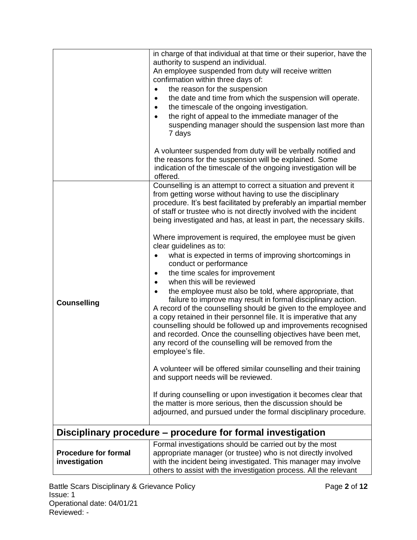|                                              | in charge of that individual at that time or their superior, have the<br>authority to suspend an individual.<br>An employee suspended from duty will receive written<br>confirmation within three days of:<br>the reason for the suspension<br>$\bullet$<br>the date and time from which the suspension will operate.<br>٠<br>the timescale of the ongoing investigation.<br>$\bullet$<br>the right of appeal to the immediate manager of the<br>$\bullet$<br>suspending manager should the suspension last more than<br>7 days<br>A volunteer suspended from duty will be verbally notified and                                                                                                                                                                                                                                                                                                                                                                                                                                                                                                                                                                                                                                                                                                                                                                                                                    |
|----------------------------------------------|---------------------------------------------------------------------------------------------------------------------------------------------------------------------------------------------------------------------------------------------------------------------------------------------------------------------------------------------------------------------------------------------------------------------------------------------------------------------------------------------------------------------------------------------------------------------------------------------------------------------------------------------------------------------------------------------------------------------------------------------------------------------------------------------------------------------------------------------------------------------------------------------------------------------------------------------------------------------------------------------------------------------------------------------------------------------------------------------------------------------------------------------------------------------------------------------------------------------------------------------------------------------------------------------------------------------------------------------------------------------------------------------------------------------|
|                                              | the reasons for the suspension will be explained. Some<br>indication of the timescale of the ongoing investigation will be<br>offered.                                                                                                                                                                                                                                                                                                                                                                                                                                                                                                                                                                                                                                                                                                                                                                                                                                                                                                                                                                                                                                                                                                                                                                                                                                                                              |
| <b>Counselling</b>                           | Counselling is an attempt to correct a situation and prevent it<br>from getting worse without having to use the disciplinary<br>procedure. It's best facilitated by preferably an impartial member<br>of staff or trustee who is not directly involved with the incident<br>being investigated and has, at least in part, the necessary skills.<br>Where improvement is required, the employee must be given<br>clear guidelines as to:<br>what is expected in terms of improving shortcomings in<br>$\bullet$<br>conduct or performance<br>the time scales for improvement<br>٠<br>when this will be reviewed<br>the employee must also be told, where appropriate, that<br>failure to improve may result in formal disciplinary action.<br>A record of the counselling should be given to the employee and<br>a copy retained in their personnel file. It is imperative that any<br>counselling should be followed up and improvements recognised<br>and recorded. Once the counselling objectives have been met,<br>any record of the counselling will be removed from the<br>employee's file.<br>A volunteer will be offered similar counselling and their training<br>and support needs will be reviewed.<br>If during counselling or upon investigation it becomes clear that<br>the matter is more serious, then the discussion should be<br>adjourned, and pursued under the formal disciplinary procedure. |
|                                              | Disciplinary procedure - procedure for formal investigation                                                                                                                                                                                                                                                                                                                                                                                                                                                                                                                                                                                                                                                                                                                                                                                                                                                                                                                                                                                                                                                                                                                                                                                                                                                                                                                                                         |
| <b>Procedure for formal</b><br>investigation | Formal investigations should be carried out by the most<br>appropriate manager (or trustee) who is not directly involved<br>with the incident being investigated. This manager may involve<br>others to assist with the investigation process. All the relevant                                                                                                                                                                                                                                                                                                                                                                                                                                                                                                                                                                                                                                                                                                                                                                                                                                                                                                                                                                                                                                                                                                                                                     |

Battle Scars Disciplinary & Grievance Policy **Page 2** of **12** Page 2 of **12** Issue: 1 Operational date: 04/01/21 Reviewed: -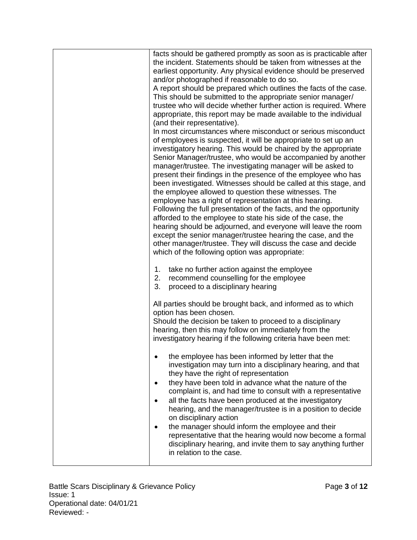| This should be submitted to the appropriate senior manager/<br>trustee who will decide whether further action is required. Where<br>appropriate, this report may be made available to the individual<br>(and their representative).<br>In most circumstances where misconduct or serious misconduct<br>of employees is suspected, it will be appropriate to set up an<br>investigatory hearing. This would be chaired by the appropriate<br>Senior Manager/trustee, who would be accompanied by another<br>manager/trustee. The investigating manager will be asked to<br>present their findings in the presence of the employee who has<br>been investigated. Witnesses should be called at this stage, and<br>the employee allowed to question these witnesses. The<br>employee has a right of representation at this hearing.<br>Following the full presentation of the facts, and the opportunity<br>afforded to the employee to state his side of the case, the<br>hearing should be adjourned, and everyone will leave the room<br>except the senior manager/trustee hearing the case, and the<br>other manager/trustee. They will discuss the case and decide<br>which of the following option was appropriate:<br>take no further action against the employee<br>1.<br>2.<br>recommend counselling for the employee<br>3.<br>proceed to a disciplinary hearing<br>All parties should be brought back, and informed as to which<br>option has been chosen. |
|-------------------------------------------------------------------------------------------------------------------------------------------------------------------------------------------------------------------------------------------------------------------------------------------------------------------------------------------------------------------------------------------------------------------------------------------------------------------------------------------------------------------------------------------------------------------------------------------------------------------------------------------------------------------------------------------------------------------------------------------------------------------------------------------------------------------------------------------------------------------------------------------------------------------------------------------------------------------------------------------------------------------------------------------------------------------------------------------------------------------------------------------------------------------------------------------------------------------------------------------------------------------------------------------------------------------------------------------------------------------------------------------------------------------------------------------------------------------|
| Should the decision be taken to proceed to a disciplinary<br>hearing, then this may follow on immediately from the<br>investigatory hearing if the following criteria have been met:<br>the employee has been informed by letter that the<br>investigation may turn into a disciplinary hearing, and that<br>they have the right of representation<br>they have been told in advance what the nature of the<br>complaint is, and had time to consult with a representative<br>all the facts have been produced at the investigatory<br>hearing, and the manager/trustee is in a position to decide<br>on disciplinary action<br>the manager should inform the employee and their<br>representative that the hearing would now become a formal<br>disciplinary hearing, and invite them to say anything further<br>in relation to the case.                                                                                                                                                                                                                                                                                                                                                                                                                                                                                                                                                                                                                        |

Battle Scars Disciplinary & Grievance Policy **Page 3** of **12** Page 3 of **12** Issue: 1 Operational date: 04/01/21 Reviewed: -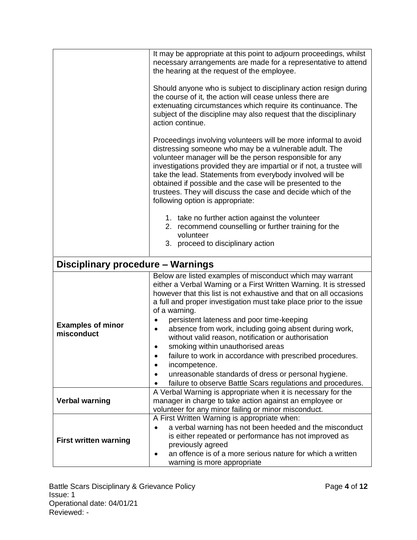|                                   | It may be appropriate at this point to adjourn proceedings, whilst                                                                                                                                                                                                                                                                                                                                                                                                                           |
|-----------------------------------|----------------------------------------------------------------------------------------------------------------------------------------------------------------------------------------------------------------------------------------------------------------------------------------------------------------------------------------------------------------------------------------------------------------------------------------------------------------------------------------------|
|                                   | necessary arrangements are made for a representative to attend                                                                                                                                                                                                                                                                                                                                                                                                                               |
|                                   | the hearing at the request of the employee.                                                                                                                                                                                                                                                                                                                                                                                                                                                  |
|                                   | Should anyone who is subject to disciplinary action resign during<br>the course of it, the action will cease unless there are<br>extenuating circumstances which require its continuance. The<br>subject of the discipline may also request that the disciplinary                                                                                                                                                                                                                            |
|                                   | action continue.                                                                                                                                                                                                                                                                                                                                                                                                                                                                             |
|                                   | Proceedings involving volunteers will be more informal to avoid<br>distressing someone who may be a vulnerable adult. The<br>volunteer manager will be the person responsible for any<br>investigations provided they are impartial or if not, a trustee will<br>take the lead. Statements from everybody involved will be<br>obtained if possible and the case will be presented to the<br>trustees. They will discuss the case and decide which of the<br>following option is appropriate: |
|                                   |                                                                                                                                                                                                                                                                                                                                                                                                                                                                                              |
|                                   | 1. take no further action against the volunteer                                                                                                                                                                                                                                                                                                                                                                                                                                              |
|                                   | 2. recommend counselling or further training for the                                                                                                                                                                                                                                                                                                                                                                                                                                         |
|                                   | volunteer<br>3. proceed to disciplinary action                                                                                                                                                                                                                                                                                                                                                                                                                                               |
|                                   |                                                                                                                                                                                                                                                                                                                                                                                                                                                                                              |
|                                   |                                                                                                                                                                                                                                                                                                                                                                                                                                                                                              |
| Disciplinary procedure - Warnings |                                                                                                                                                                                                                                                                                                                                                                                                                                                                                              |
|                                   | Below are listed examples of misconduct which may warrant<br>either a Verbal Warning or a First Written Warning. It is stressed<br>however that this list is not exhaustive and that on all occasions<br>a full and proper investigation must take place prior to the issue                                                                                                                                                                                                                  |
|                                   | of a warning.                                                                                                                                                                                                                                                                                                                                                                                                                                                                                |
| <b>Examples of minor</b>          | persistent lateness and poor time-keeping<br>٠                                                                                                                                                                                                                                                                                                                                                                                                                                               |
| misconduct                        | absence from work, including going absent during work,<br>$\bullet$                                                                                                                                                                                                                                                                                                                                                                                                                          |
|                                   | without valid reason, notification or authorisation<br>smoking within unauthorised areas<br>$\bullet$                                                                                                                                                                                                                                                                                                                                                                                        |
|                                   | failure to work in accordance with prescribed procedures.                                                                                                                                                                                                                                                                                                                                                                                                                                    |
|                                   | incompetence.                                                                                                                                                                                                                                                                                                                                                                                                                                                                                |
|                                   | unreasonable standards of dress or personal hygiene.                                                                                                                                                                                                                                                                                                                                                                                                                                         |
|                                   | failure to observe Battle Scars regulations and procedures.                                                                                                                                                                                                                                                                                                                                                                                                                                  |
|                                   | A Verbal Warning is appropriate when it is necessary for the                                                                                                                                                                                                                                                                                                                                                                                                                                 |
| <b>Verbal warning</b>             | manager in charge to take action against an employee or                                                                                                                                                                                                                                                                                                                                                                                                                                      |
|                                   | volunteer for any minor failing or minor misconduct.<br>A First Written Warning is appropriate when:                                                                                                                                                                                                                                                                                                                                                                                         |
|                                   | a verbal warning has not been heeded and the misconduct<br>$\bullet$                                                                                                                                                                                                                                                                                                                                                                                                                         |
|                                   | is either repeated or performance has not improved as                                                                                                                                                                                                                                                                                                                                                                                                                                        |
| <b>First written warning</b>      | previously agreed<br>an offence is of a more serious nature for which a written                                                                                                                                                                                                                                                                                                                                                                                                              |

Battle Scars Disciplinary & Grievance Policy **Page 4** of **12** Page 4 of **12** Issue: 1 Operational date: 04/01/21 Reviewed: -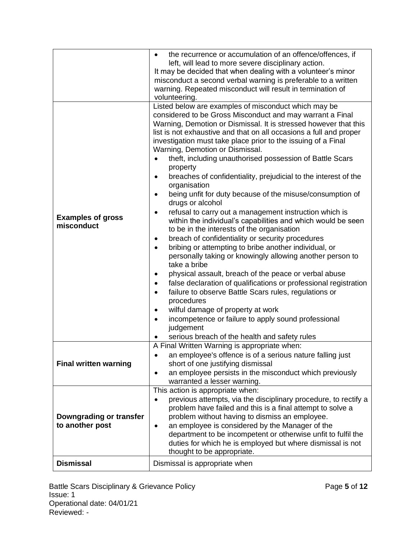|                                            | the recurrence or accumulation of an offence/offences, if<br>$\bullet$<br>left, will lead to more severe disciplinary action.<br>It may be decided that when dealing with a volunteer's minor<br>misconduct a second verbal warning is preferable to a written<br>warning. Repeated misconduct will result in termination of<br>volunteering.                                                                                                                                                                                                                                                                                                                                                                                                                                                                                                                                                                                                                                                                                                                                                                                                                                                                                                                                                                                                                                                                               |
|--------------------------------------------|-----------------------------------------------------------------------------------------------------------------------------------------------------------------------------------------------------------------------------------------------------------------------------------------------------------------------------------------------------------------------------------------------------------------------------------------------------------------------------------------------------------------------------------------------------------------------------------------------------------------------------------------------------------------------------------------------------------------------------------------------------------------------------------------------------------------------------------------------------------------------------------------------------------------------------------------------------------------------------------------------------------------------------------------------------------------------------------------------------------------------------------------------------------------------------------------------------------------------------------------------------------------------------------------------------------------------------------------------------------------------------------------------------------------------------|
| <b>Examples of gross</b><br>misconduct     | Listed below are examples of misconduct which may be<br>considered to be Gross Misconduct and may warrant a Final<br>Warning, Demotion or Dismissal. It is stressed however that this<br>list is not exhaustive and that on all occasions a full and proper<br>investigation must take place prior to the issuing of a Final<br>Warning, Demotion or Dismissal.<br>theft, including unauthorised possession of Battle Scars<br>property<br>breaches of confidentiality, prejudicial to the interest of the<br>$\bullet$<br>organisation<br>being unfit for duty because of the misuse/consumption of<br>$\bullet$<br>drugs or alcohol<br>refusal to carry out a management instruction which is<br>٠<br>within the individual's capabilities and which would be seen<br>to be in the interests of the organisation<br>breach of confidentiality or security procedures<br>$\bullet$<br>bribing or attempting to bribe another individual, or<br>$\bullet$<br>personally taking or knowingly allowing another person to<br>take a bribe<br>physical assault, breach of the peace or verbal abuse<br>٠<br>false declaration of qualifications or professional registration<br>$\bullet$<br>failure to observe Battle Scars rules, regulations or<br>procedures<br>wilful damage of property at work<br>incompetence or failure to apply sound professional<br>٠<br>judgement<br>serious breach of the health and safety rules |
|                                            | A Final Written Warning is appropriate when:                                                                                                                                                                                                                                                                                                                                                                                                                                                                                                                                                                                                                                                                                                                                                                                                                                                                                                                                                                                                                                                                                                                                                                                                                                                                                                                                                                                |
| <b>Final written warning</b>               | an employee's offence is of a serious nature falling just<br>short of one justifying dismissal<br>an employee persists in the misconduct which previously<br>٠                                                                                                                                                                                                                                                                                                                                                                                                                                                                                                                                                                                                                                                                                                                                                                                                                                                                                                                                                                                                                                                                                                                                                                                                                                                              |
|                                            | warranted a lesser warning.                                                                                                                                                                                                                                                                                                                                                                                                                                                                                                                                                                                                                                                                                                                                                                                                                                                                                                                                                                                                                                                                                                                                                                                                                                                                                                                                                                                                 |
| Downgrading or transfer<br>to another post | This action is appropriate when:<br>previous attempts, via the disciplinary procedure, to rectify a<br>problem have failed and this is a final attempt to solve a<br>problem without having to dismiss an employee.<br>an employee is considered by the Manager of the<br>٠<br>department to be incompetent or otherwise unfit to fulfil the<br>duties for which he is employed but where dismissal is not<br>thought to be appropriate.                                                                                                                                                                                                                                                                                                                                                                                                                                                                                                                                                                                                                                                                                                                                                                                                                                                                                                                                                                                    |
| <b>Dismissal</b>                           | Dismissal is appropriate when                                                                                                                                                                                                                                                                                                                                                                                                                                                                                                                                                                                                                                                                                                                                                                                                                                                                                                                                                                                                                                                                                                                                                                                                                                                                                                                                                                                               |

Battle Scars Disciplinary & Grievance Policy **Page 5** of **12** Page 5 of **12** Issue: 1 Operational date: 04/01/21 Reviewed: -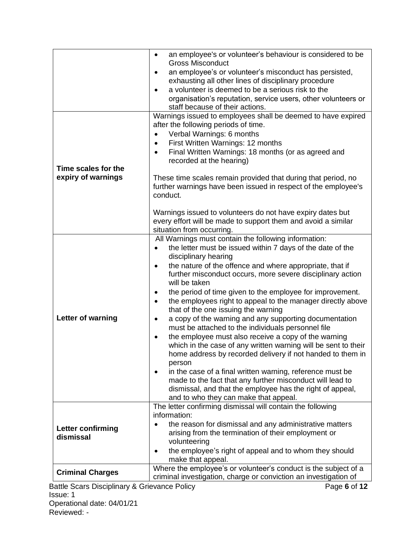|                         | an employee's or volunteer's behaviour is considered to be<br>$\bullet$  |
|-------------------------|--------------------------------------------------------------------------|
|                         | <b>Gross Misconduct</b>                                                  |
|                         | an employee's or volunteer's misconduct has persisted,<br>٠              |
|                         | exhausting all other lines of disciplinary procedure                     |
|                         | a volunteer is deemed to be a serious risk to the                        |
|                         | organisation's reputation, service users, other volunteers or            |
|                         | staff because of their actions.                                          |
|                         | Warnings issued to employees shall be deemed to have expired             |
|                         | after the following periods of time.                                     |
|                         | Verbal Warnings: 6 months                                                |
|                         | First Written Warnings: 12 months<br>$\bullet$                           |
|                         | Final Written Warnings: 18 months (or as agreed and<br>$\bullet$         |
| Time scales for the     | recorded at the hearing)                                                 |
| expiry of warnings      | These time scales remain provided that during that period, no            |
|                         | further warnings have been issued in respect of the employee's           |
|                         | conduct.                                                                 |
|                         |                                                                          |
|                         | Warnings issued to volunteers do not have expiry dates but               |
|                         | every effort will be made to support them and avoid a similar            |
|                         | situation from occurring.                                                |
|                         | All Warnings must contain the following information:                     |
|                         | the letter must be issued within 7 days of the date of the<br>$\bullet$  |
|                         | disciplinary hearing                                                     |
|                         | the nature of the offence and where appropriate, that if<br>$\bullet$    |
|                         | further misconduct occurs, more severe disciplinary action               |
|                         | will be taken                                                            |
|                         | the period of time given to the employee for improvement.<br>$\bullet$   |
|                         | the employees right to appeal to the manager directly above<br>$\bullet$ |
|                         | that of the one issuing the warning                                      |
| Letter of warning       | a copy of the warning and any supporting documentation<br>٠              |
|                         | must be attached to the individuals personnel file                       |
|                         | the employee must also receive a copy of the warning<br>$\bullet$        |
|                         | which in the case of any written warning will be sent to their           |
|                         | home address by recorded delivery if not handed to them in               |
|                         | person<br>in the case of a final written warning, reference must be      |
|                         | made to the fact that any further misconduct will lead to                |
|                         | dismissal, and that the employee has the right of appeal,                |
|                         | and to who they can make that appeal.                                    |
|                         | The letter confirming dismissal will contain the following               |
|                         | information:                                                             |
|                         | the reason for dismissal and any administrative matters                  |
| Letter confirming       | arising from the termination of their employment or                      |
| dismissal               | volunteering                                                             |
|                         | the employee's right of appeal and to whom they should<br>$\bullet$      |
|                         | make that appeal.                                                        |
|                         | Where the employee's or volunteer's conduct is the subject of a          |
| <b>Criminal Charges</b> | criminal investigation, charge or conviction an investigation of         |

Battle Scars Disciplinary & Grievance Policy **Page 6** of **12** Issue: 1 Operational date: 04/01/21 Reviewed: -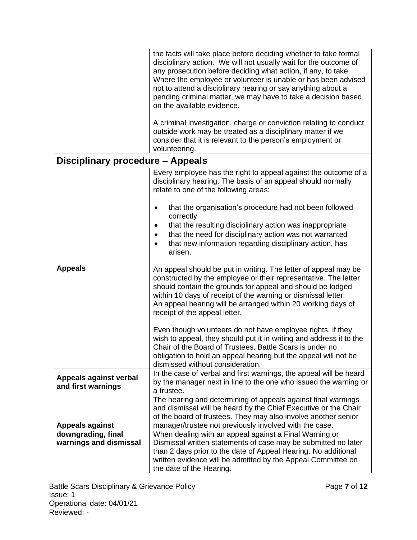|                                                                        | the facts will take place before deciding whether to take formal<br>disciplinary action. We will not usually wait for the outcome of<br>any prosecution before deciding what action, if any, to take.<br>Where the employee or volunteer is unable or has been advised<br>not to attend a disciplinary hearing or say anything about a<br>pending criminal matter, we may have to take a decision based<br>on the available evidence.<br>A criminal investigation, charge or conviction relating to conduct<br>outside work may be treated as a disciplinary matter if we<br>consider that it is relevant to the person's employment or<br>volunteering. |
|------------------------------------------------------------------------|----------------------------------------------------------------------------------------------------------------------------------------------------------------------------------------------------------------------------------------------------------------------------------------------------------------------------------------------------------------------------------------------------------------------------------------------------------------------------------------------------------------------------------------------------------------------------------------------------------------------------------------------------------|
| Disciplinary procedure – Appeals                                       |                                                                                                                                                                                                                                                                                                                                                                                                                                                                                                                                                                                                                                                          |
|                                                                        | Every employee has the right to appeal against the outcome of a<br>disciplinary hearing. The basis of an appeal should normally<br>relate to one of the following areas:                                                                                                                                                                                                                                                                                                                                                                                                                                                                                 |
|                                                                        | that the organisation's procedure had not been followed<br>$\bullet$<br>correctly<br>that the resulting disciplinary action was inappropriate<br>that the need for disciplinary action was not warranted<br>that new information regarding disciplinary action, has<br>$\bullet$                                                                                                                                                                                                                                                                                                                                                                         |
| <b>Appeals</b>                                                         | arisen.<br>An appeal should be put in writing. The letter of appeal may be<br>constructed by the employee or their representative. The letter<br>should contain the grounds for appeal and should be lodged<br>within 10 days of receipt of the warning or dismissal letter.<br>An appeal hearing will be arranged within 20 working days of<br>receipt of the appeal letter.                                                                                                                                                                                                                                                                            |
|                                                                        | Even though volunteers do not have employee rights, if they<br>wish to appeal, they should put it in writing and address it to the<br>Chair of the Board of Trustees. Battle Scars is under no<br>obligation to hold an appeal hearing but the appeal will not be<br>dismissed without consideration.                                                                                                                                                                                                                                                                                                                                                    |
| Appeals against verbal<br>and first warnings                           | In the case of verbal and first warnings, the appeal will be heard<br>by the manager next in line to the one who issued the warning or<br>a trustee.                                                                                                                                                                                                                                                                                                                                                                                                                                                                                                     |
| <b>Appeals against</b><br>downgrading, final<br>warnings and dismissal | The hearing and determining of appeals against final warnings<br>and dismissal will be heard by the Chief Executive or the Chair<br>of the board of trustees. They may also involve another senior<br>manager/trustee not previously involved with the case.<br>When dealing with an appeal against a Final Warning or<br>Dismissal written statements of case may be submitted no later<br>than 2 days prior to the date of Appeal Hearing. No additional<br>written evidence will be admitted by the Appeal Committee on<br>the date of the Hearing.                                                                                                   |

Battle Scars Disciplinary & Grievance Policy **Page 7** of 12 Issue: 1 Operational date: 04/01/21 Reviewed: -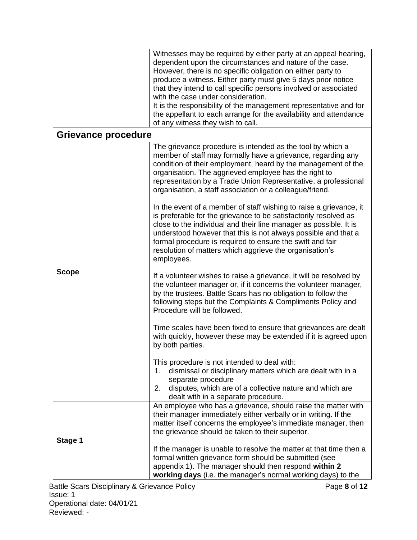|                            | Witnesses may be required by either party at an appeal hearing,<br>dependent upon the circumstances and nature of the case.<br>However, there is no specific obligation on either party to<br>produce a witness. Either party must give 5 days prior notice<br>that they intend to call specific persons involved or associated<br>with the case under consideration.<br>It is the responsibility of the management representative and for     |
|----------------------------|------------------------------------------------------------------------------------------------------------------------------------------------------------------------------------------------------------------------------------------------------------------------------------------------------------------------------------------------------------------------------------------------------------------------------------------------|
|                            | the appellant to each arrange for the availability and attendance<br>of any witness they wish to call.                                                                                                                                                                                                                                                                                                                                         |
| <b>Grievance procedure</b> |                                                                                                                                                                                                                                                                                                                                                                                                                                                |
| <b>Scope</b>               | The grievance procedure is intended as the tool by which a<br>member of staff may formally have a grievance, regarding any<br>condition of their employment, heard by the management of the<br>organisation. The aggrieved employee has the right to<br>representation by a Trade Union Representative, a professional<br>organisation, a staff association or a colleague/friend.                                                             |
|                            | In the event of a member of staff wishing to raise a grievance, it<br>is preferable for the grievance to be satisfactorily resolved as<br>close to the individual and their line manager as possible. It is<br>understood however that this is not always possible and that a<br>formal procedure is required to ensure the swift and fair<br>resolution of matters which aggrieve the organisation's<br>employees.                            |
|                            | If a volunteer wishes to raise a grievance, it will be resolved by<br>the volunteer manager or, if it concerns the volunteer manager,<br>by the trustees. Battle Scars has no obligation to follow the<br>following steps but the Complaints & Compliments Policy and<br>Procedure will be followed.                                                                                                                                           |
|                            | Time scales have been fixed to ensure that grievances are dealt<br>with quickly, however these may be extended if it is agreed upon<br>by both parties.                                                                                                                                                                                                                                                                                        |
|                            | This procedure is not intended to deal with:<br>dismissal or disciplinary matters which are dealt with in a<br>1.<br>separate procedure<br>disputes, which are of a collective nature and which are<br>2.<br>dealt with in a separate procedure.                                                                                                                                                                                               |
| Stage 1                    | An employee who has a grievance, should raise the matter with<br>their manager immediately either verbally or in writing. If the<br>matter itself concerns the employee's immediate manager, then<br>the grievance should be taken to their superior.<br>If the manager is unable to resolve the matter at that time then a<br>formal written grievance form should be submitted (see<br>appendix 1). The manager should then respond within 2 |
|                            | working days (i.e. the manager's normal working days) to the                                                                                                                                                                                                                                                                                                                                                                                   |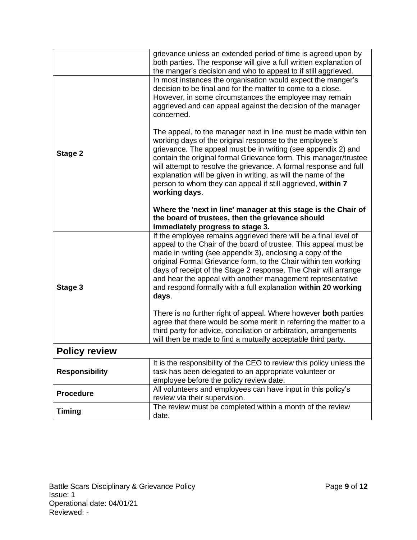|                       | grievance unless an extended period of time is agreed upon by<br>both parties. The response will give a full written explanation of<br>the manger's decision and who to appeal to if still aggrieved.                                                                                                                                                                                                                                                                                 |
|-----------------------|---------------------------------------------------------------------------------------------------------------------------------------------------------------------------------------------------------------------------------------------------------------------------------------------------------------------------------------------------------------------------------------------------------------------------------------------------------------------------------------|
|                       | In most instances the organisation would expect the manger's<br>decision to be final and for the matter to come to a close.<br>However, in some circumstances the employee may remain<br>aggrieved and can appeal against the decision of the manager<br>concerned.                                                                                                                                                                                                                   |
| <b>Stage 2</b>        | The appeal, to the manager next in line must be made within ten<br>working days of the original response to the employee's<br>grievance. The appeal must be in writing (see appendix 2) and<br>contain the original formal Grievance form. This manager/trustee<br>will attempt to resolve the grievance. A formal response and full<br>explanation will be given in writing, as will the name of the<br>person to whom they can appeal if still aggrieved, within 7<br>working days. |
|                       | Where the 'next in line' manager at this stage is the Chair of<br>the board of trustees, then the grievance should<br>immediately progress to stage 3.                                                                                                                                                                                                                                                                                                                                |
| Stage 3               | If the employee remains aggrieved there will be a final level of<br>appeal to the Chair of the board of trustee. This appeal must be<br>made in writing (see appendix 3), enclosing a copy of the<br>original Formal Grievance form, to the Chair within ten working<br>days of receipt of the Stage 2 response. The Chair will arrange<br>and hear the appeal with another management representative<br>and respond formally with a full explanation within 20 working<br>days.      |
|                       | There is no further right of appeal. Where however <b>both</b> parties<br>agree that there would be some merit in referring the matter to a<br>third party for advice, conciliation or arbitration, arrangements<br>will then be made to find a mutually acceptable third party.                                                                                                                                                                                                      |
| <b>Policy review</b>  |                                                                                                                                                                                                                                                                                                                                                                                                                                                                                       |
| <b>Responsibility</b> | It is the responsibility of the CEO to review this policy unless the<br>task has been delegated to an appropriate volunteer or<br>employee before the policy review date.                                                                                                                                                                                                                                                                                                             |
| <b>Procedure</b>      | All volunteers and employees can have input in this policy's<br>review via their supervision.                                                                                                                                                                                                                                                                                                                                                                                         |
| <b>Timing</b>         | The review must be completed within a month of the review<br>date.                                                                                                                                                                                                                                                                                                                                                                                                                    |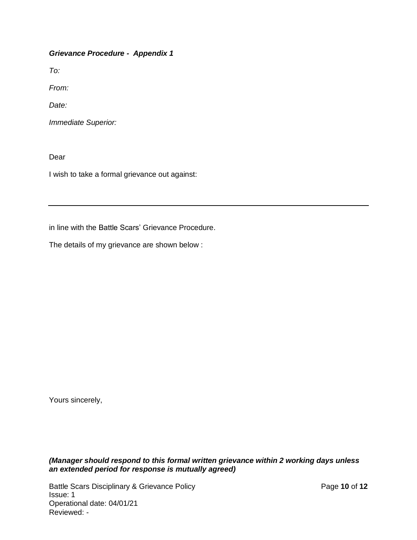*Grievance Procedure - Appendix 1*

*To:*

*From:*

*Date:*

*Immediate Superior:*

Dear

I wish to take a formal grievance out against:

in line with the Battle Scars' Grievance Procedure.

The details of my grievance are shown below :

Yours sincerely,

*(Manager should respond to this formal written grievance within 2 working days unless an extended period for response is mutually agreed)*

Battle Scars Disciplinary & Grievance Policy **Page 10** of **12** Issue: 1 Operational date: 04/01/21 Reviewed: -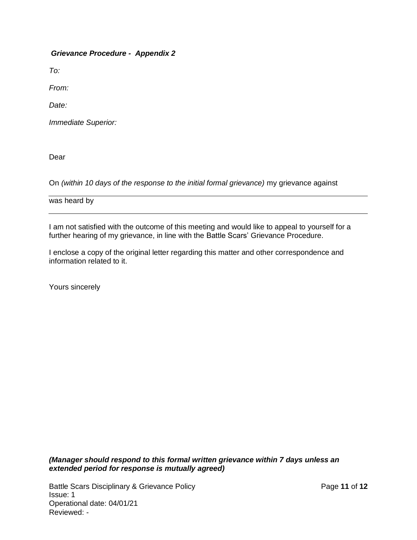*Grievance Procedure - Appendix 2*

*To:*

*From:*

*Date:*

*Immediate Superior:*

Dear

On *(within 10 days of the response to the initial formal grievance)* my grievance against

was heard by

I am not satisfied with the outcome of this meeting and would like to appeal to yourself for a further hearing of my grievance, in line with the Battle Scars' Grievance Procedure.

I enclose a copy of the original letter regarding this matter and other correspondence and information related to it.

Yours sincerely

*(Manager should respond to this formal written grievance within 7 days unless an extended period for response is mutually agreed)*

Battle Scars Disciplinary & Grievance Policy **Page 11** of **12** Issue: 1 Operational date: 04/01/21 Reviewed: -